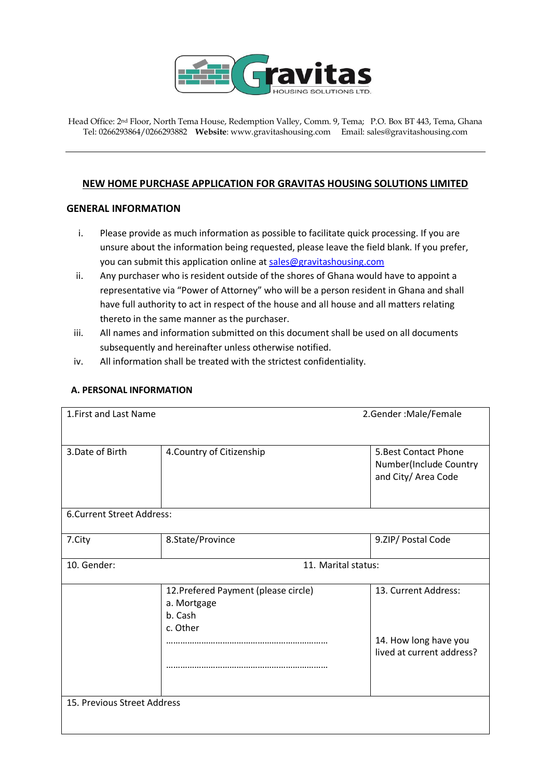

Head Office: 2nd Floor, North Tema House, Redemption Valley, Comm. 9, Tema; P.O. Box BT 443, Tema, Ghana Tel: 0266293864/0266293882 **Website**[: www.gravitashousing.com](http://www.gravitashousing.com/) Email: sales@gravitashousing.com

## **NEW HOME PURCHASE APPLICATION FOR GRAVITAS HOUSING SOLUTIONS LIMITED**

## **GENERAL INFORMATION**

- i. Please provide as much information as possible to facilitate quick processing. If you are unsure about the information being requested, please leave the field blank. If you prefer, you can submit this application online at [sales@gravitashousing.com](mailto:sales@gravitashousing.com)
- ii. Any purchaser who is resident outside of the shores of Ghana would have to appoint a representative via "Power of Attorney" who will be a person resident in Ghana and shall have full authority to act in respect of the house and all house and all matters relating thereto in the same manner as the purchaser.
- iii. All names and information submitted on this document shall be used on all documents subsequently and hereinafter unless otherwise notified.
- iv. All information shall be treated with the strictest confidentiality.

## **A. PERSONAL INFORMATION**

| 1. First and Last Name      | 2.Gender: Male/Female                                                      |                                                                            |  |  |
|-----------------------------|----------------------------------------------------------------------------|----------------------------------------------------------------------------|--|--|
| 3. Date of Birth            | 4. Country of Citizenship                                                  | 5. Best Contact Phone<br>Number(Include Country<br>and City/ Area Code     |  |  |
| 6. Current Street Address:  |                                                                            |                                                                            |  |  |
| 7.City                      | 8.State/Province                                                           | 9.ZIP/ Postal Code                                                         |  |  |
| 10. Gender:                 | 11. Marital status:                                                        |                                                                            |  |  |
|                             | 12. Prefered Payment (please circle)<br>a. Mortgage<br>b. Cash<br>c. Other | 13. Current Address:<br>14. How long have you<br>lived at current address? |  |  |
| 15. Previous Street Address |                                                                            |                                                                            |  |  |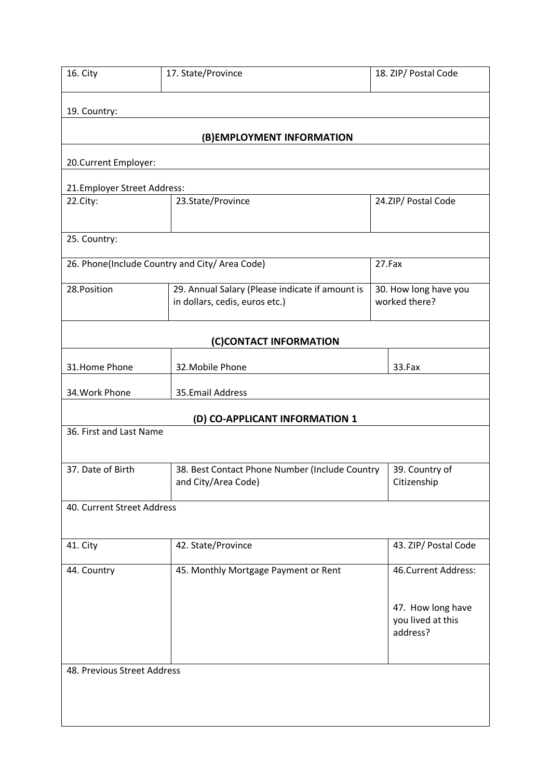| 16. City                                       | 17. State/Province                                                                | 18. ZIP/ Postal Code                               |  |  |
|------------------------------------------------|-----------------------------------------------------------------------------------|----------------------------------------------------|--|--|
| 19. Country:                                   |                                                                                   |                                                    |  |  |
| (B) EMPLOYMENT INFORMATION                     |                                                                                   |                                                    |  |  |
| 20. Current Employer:                          |                                                                                   |                                                    |  |  |
| 21. Employer Street Address:                   |                                                                                   |                                                    |  |  |
| 22.City:                                       | 23.State/Province                                                                 | 24.ZIP/ Postal Code                                |  |  |
| 25. Country:                                   |                                                                                   |                                                    |  |  |
| 26. Phone(Include Country and City/ Area Code) |                                                                                   | 27.Fax                                             |  |  |
| 28. Position                                   | 29. Annual Salary (Please indicate if amount is<br>in dollars, cedis, euros etc.) | 30. How long have you<br>worked there?             |  |  |
| (C)CONTACT INFORMATION                         |                                                                                   |                                                    |  |  |
| 31.Home Phone                                  | 32. Mobile Phone                                                                  | 33.Fax                                             |  |  |
| 34. Work Phone                                 | 35.Email Address                                                                  |                                                    |  |  |
| (D) CO-APPLICANT INFORMATION 1                 |                                                                                   |                                                    |  |  |
| 36. First and Last Name                        |                                                                                   |                                                    |  |  |
| 37. Date of Birth                              | 38. Best Contact Phone Number (Include Country<br>and City/Area Code)             | 39. Country of<br>Citizenship                      |  |  |
| 40. Current Street Address                     |                                                                                   |                                                    |  |  |
| 41. City                                       | 42. State/Province                                                                | 43. ZIP/ Postal Code                               |  |  |
| 44. Country                                    | 45. Monthly Mortgage Payment or Rent                                              | 46. Current Address:                               |  |  |
|                                                |                                                                                   | 47. How long have<br>you lived at this<br>address? |  |  |
| 48. Previous Street Address                    |                                                                                   |                                                    |  |  |
|                                                |                                                                                   |                                                    |  |  |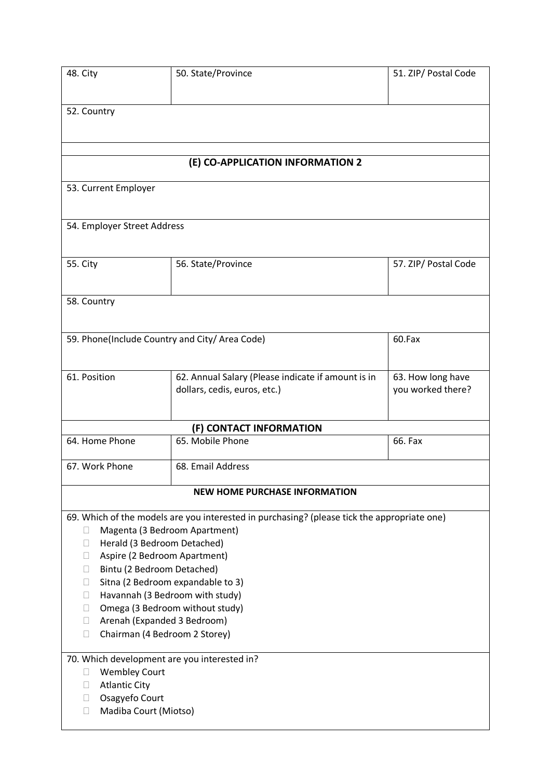| 48. City                                                                          | 50. State/Province                                                                          | 51. ZIP/ Postal Code |  |  |
|-----------------------------------------------------------------------------------|---------------------------------------------------------------------------------------------|----------------------|--|--|
|                                                                                   |                                                                                             |                      |  |  |
| 52. Country                                                                       |                                                                                             |                      |  |  |
|                                                                                   |                                                                                             |                      |  |  |
|                                                                                   |                                                                                             |                      |  |  |
|                                                                                   |                                                                                             |                      |  |  |
| (E) CO-APPLICATION INFORMATION 2                                                  |                                                                                             |                      |  |  |
| 53. Current Employer                                                              |                                                                                             |                      |  |  |
|                                                                                   |                                                                                             |                      |  |  |
| 54. Employer Street Address                                                       |                                                                                             |                      |  |  |
|                                                                                   |                                                                                             |                      |  |  |
| <b>55. City</b>                                                                   | 56. State/Province                                                                          | 57. ZIP/ Postal Code |  |  |
|                                                                                   |                                                                                             |                      |  |  |
|                                                                                   |                                                                                             |                      |  |  |
| 58. Country                                                                       |                                                                                             |                      |  |  |
|                                                                                   |                                                                                             |                      |  |  |
| 59. Phone(Include Country and City/ Area Code)                                    |                                                                                             | 60.Fax               |  |  |
|                                                                                   |                                                                                             |                      |  |  |
| 61. Position                                                                      | 62. Annual Salary (Please indicate if amount is in                                          | 63. How long have    |  |  |
|                                                                                   | dollars, cedis, euros, etc.)                                                                | you worked there?    |  |  |
|                                                                                   |                                                                                             |                      |  |  |
|                                                                                   | (F) CONTACT INFORMATION                                                                     |                      |  |  |
| 64. Home Phone                                                                    | 65. Mobile Phone                                                                            | 66. Fax              |  |  |
| 67. Work Phone                                                                    | 68. Email Address                                                                           |                      |  |  |
|                                                                                   |                                                                                             |                      |  |  |
| <b>NEW HOME PURCHASE INFORMATION</b>                                              |                                                                                             |                      |  |  |
|                                                                                   | 69. Which of the models are you interested in purchasing? (please tick the appropriate one) |                      |  |  |
| Magenta (3 Bedroom Apartment)<br>□                                                |                                                                                             |                      |  |  |
| Herald (3 Bedroom Detached)<br>□                                                  |                                                                                             |                      |  |  |
| Aspire (2 Bedroom Apartment)<br>п                                                 |                                                                                             |                      |  |  |
| Bintu (2 Bedroom Detached)<br>П                                                   |                                                                                             |                      |  |  |
| Sitna (2 Bedroom expandable to 3)<br>$\Box$                                       |                                                                                             |                      |  |  |
| Havannah (3 Bedroom with study)<br>П<br>Omega (3 Bedroom without study)<br>$\Box$ |                                                                                             |                      |  |  |
| Arenah (Expanded 3 Bedroom)<br>$\Box$                                             |                                                                                             |                      |  |  |
| Chairman (4 Bedroom 2 Storey)<br>$\Box$                                           |                                                                                             |                      |  |  |
|                                                                                   |                                                                                             |                      |  |  |
| 70. Which development are you interested in?                                      |                                                                                             |                      |  |  |
| <b>Wembley Court</b><br>$\Box$                                                    |                                                                                             |                      |  |  |
| <b>Atlantic City</b><br>п<br>Osagyefo Court<br>□                                  |                                                                                             |                      |  |  |
| Madiba Court (Miotso)<br>$\Box$                                                   |                                                                                             |                      |  |  |
|                                                                                   |                                                                                             |                      |  |  |
|                                                                                   |                                                                                             |                      |  |  |